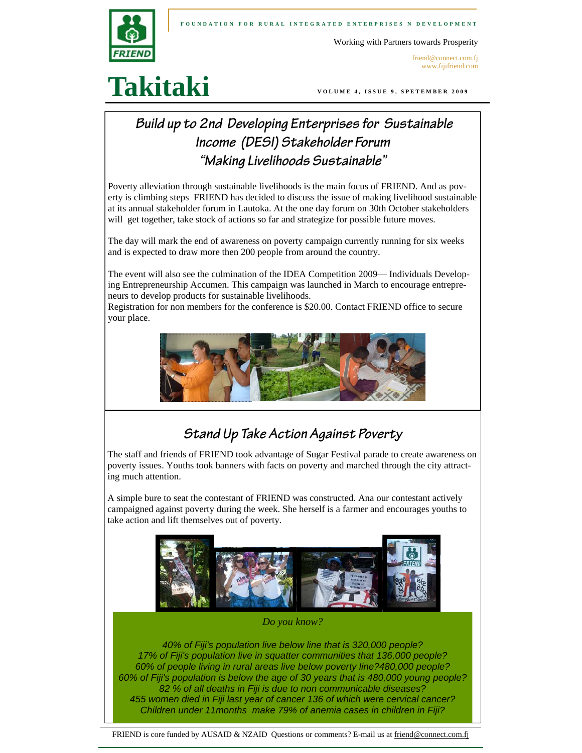

Working with Partners towards Prosperity

friend@connect.com.fj www.fijifriend.com

# **Takitaki**

**VOLUME 4, ISSUE 9, SPETEMBER 2009** 

## **Build up to 2nd Developing Enterprises for Sustainable Income (DESI) Stakeholder Forum "Making Livelihoods Sustainable"**

Poverty alleviation through sustainable livelihoods is the main focus of FRIEND. And as poverty is climbing steps FRIEND has decided to discuss the issue of making livelihood sustainable at its annual stakeholder forum in Lautoka. At the one day forum on 30th October stakeholders will get together, take stock of actions so far and strategize for possible future moves.

The day will mark the end of awareness on poverty campaign currently running for six weeks and is expected to draw more then 200 people from around the country.

The event will also see the culmination of the IDEA Competition 2009— Individuals Developing Entrepreneurship Accumen. This campaign was launched in March to encourage entrepreneurs to develop products for sustainable livelihoods.

Registration for non members for the conference is \$20.00. Contact FRIEND office to secure your place.



## **Stand Up Take Action Against Poverty**

The staff and friends of FRIEND took advantage of Sugar Festival parade to create awareness on poverty issues. Youths took banners with facts on poverty and marched through the city attracting much attention.

A simple bure to seat the contestant of FRIEND was constructed. Ana our contestant actively campaigned against poverty during the week. She herself is a farmer and encourages youths to take action and lift themselves out of poverty.



*Do you know?* 

*40% of Fiji's population live below line that is 320,000 people? 17% of Fiji's population live in squatter communities that 136,000 people? 60% of people living in rural areas live below poverty line?480,000 people? 60% of Fiji's population is below the age of 30 years that is 480,000 young people? 82 % of all deaths in Fiji is due to non communicable diseases? 455 women died in Fiji last year of cancer 136 of which were cervical cancer? Children under 11months make 79% of anemia cases in children in Fiji?*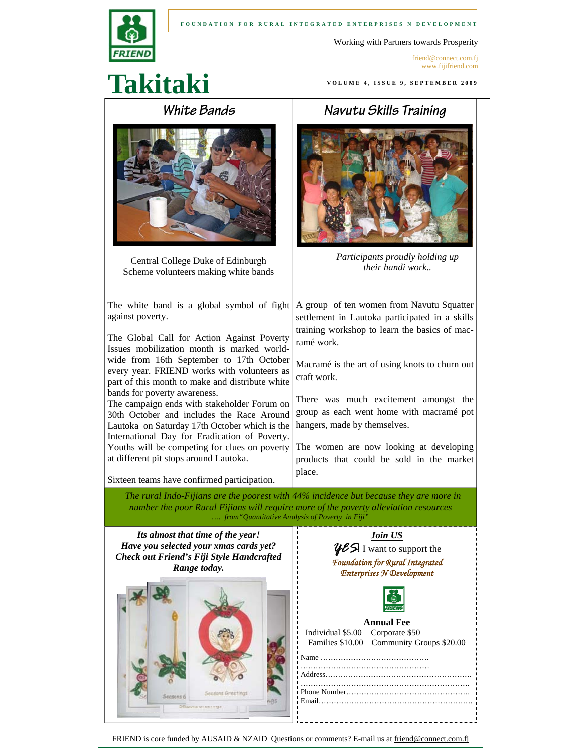

#### **FOUNDATION FOR RURAL INTEGRATED ENTERPRISES N DEVELOPMENT**

Working with Partners towards Prosperity

**VOLUME 4, ISSUE 9, SEPTEMBER 2009** 

friend@connect.com.fj www.fijifriend.com

# **Takitaki**

### **White Bands**



Central College Duke of Edinburgh Scheme volunteers making white bands

The white band is a global symbol of fight  $\vert A \text{ group} \vert$  of ten women from Navutu Squatter against poverty.

The Global Call for Action Against Poverty Issues mobilization month is marked worldwide from 16th September to 17th October every year. FRIEND works with volunteers as part of this month to make and distribute white bands for poverty awareness.

The campaign ends with stakeholder Forum on 30th October and includes the Race Around Lautoka on Saturday 17th October which is the International Day for Eradication of Poverty. Youths will be competing for clues on poverty at different pit stops around Lautoka.

Sixteen teams have confirmed participation.

### **Navutu Skills Training**



*Participants proudly holding up their handi work..* 

settlement in Lautoka participated in a skills training workshop to learn the basics of macramé work.

Macramé is the art of using knots to churn out craft work.

There was much excitement amongst the group as each went home with macramé pot hangers, made by themselves.

The women are now looking at developing products that could be sold in the market place.

 *The rural Indo-Fijians are the poorest with 44% incidence but because they are more in number the poor Rural Fijians will require more of the poverty alleviation resources …. from"Quantitative Analysis of Poverty in Fiji"*



FRIEND is core funded by AUSAID & NZAID Questions or comments? E-mail us at friend@connect.com.fj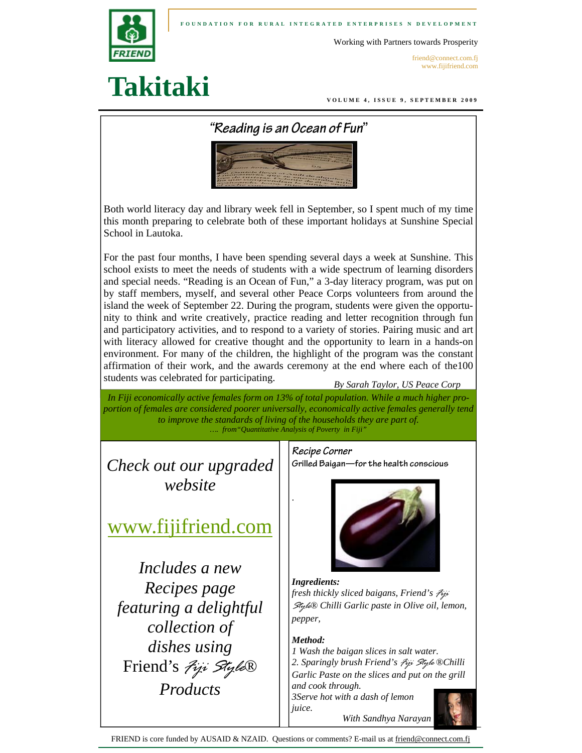**FOUNDATION FOR RURAL INTEGRATED ENTERPRISES N DEVELOPMENT** 



Working with Partners towards Prosperity

friend@connect.com.fj www.fijifriend.com

## **Takitaki**

**VOLUME 4, ISSUE 9, SEPTEMBER 2009** 



Both world literacy day and library week fell in September, so I spent much of my time this month preparing to celebrate both of these important holidays at Sunshine Special School in Lautoka.

For the past four months, I have been spending several days a week at Sunshine. This school exists to meet the needs of students with a wide spectrum of learning disorders and special needs. "Reading is an Ocean of Fun," a 3-day literacy program, was put on by staff members, myself, and several other Peace Corps volunteers from around the island the week of September 22. During the program, students were given the opportunity to think and write creatively, practice reading and letter recognition through fun and participatory activities, and to respond to a variety of stories. Pairing music and art with literacy allowed for creative thought and the opportunity to learn in a hands-on environment. For many of the children, the highlight of the program was the constant affirmation of their work, and the awards ceremony at the end where each of the100 students was celebrated for participating.

*By Sarah Taylor, US Peace Corp* 

*In Fiji economically active females form on 13% of total population. While a much higher proportion of females are considered poorer universally, economically active females generally tend to improve the standards of living of the households they are part of. …. from"Quantitative Analysis of Poverty in Fiji"*

.

*Check out our upgraded website* 

www.fijifriend.com

*Includes a new Recipes page featuring a delightful collection of dishes using*  Friend's *Fiji Style® Products* 

### **Recipe Corner**

**Grilled Baigan—for the health conscious** 



*Ingredients: fresh thickly sliced baigans, Friend's Fiji Style® Chilli Garlic paste in Olive oil, lemon, pepper,* 

### *Method:*

*1 Wash the baigan slices in salt water. 2. Sparingly brush Friend's Fiji Style ®Chilli Garlic Paste on the slices and put on the grill and cook through. 3Serve hot with a dash of lemon* 



FRIEND is core funded by AUSAID & NZAID. Questions or comments? E-mail us at friend@connect.com.fj

*juice.*